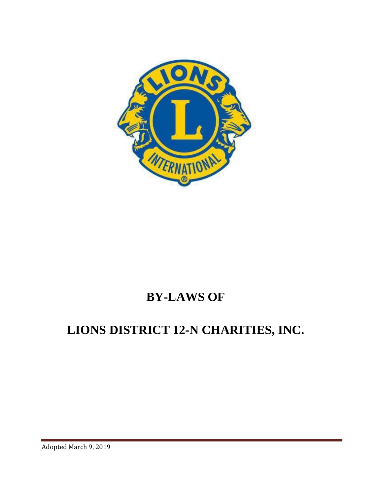

## **BY-LAWS OF**

# **LIONS DISTRICT 12-N CHARITIES, INC.**

Adopted March 9, 2019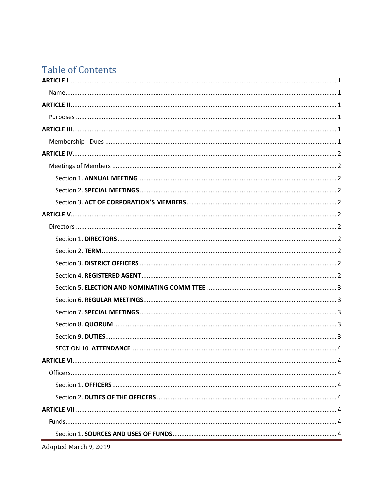## **Table of Contents**

Adopted March 9, 2019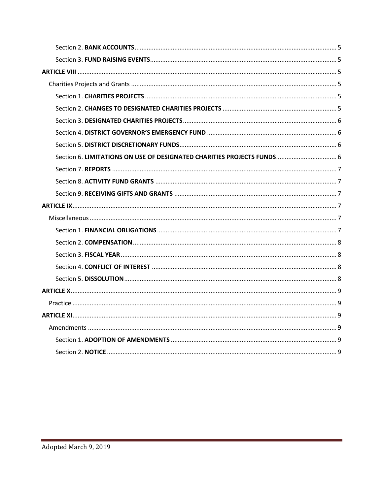| Section 6. LIMITATIONS ON USE OF DESIGNATED CHARITIES PROJECTS FUNDS 6 |
|------------------------------------------------------------------------|
|                                                                        |
|                                                                        |
|                                                                        |
|                                                                        |
|                                                                        |
|                                                                        |
|                                                                        |
|                                                                        |
|                                                                        |
|                                                                        |
|                                                                        |
|                                                                        |
|                                                                        |
|                                                                        |
|                                                                        |
|                                                                        |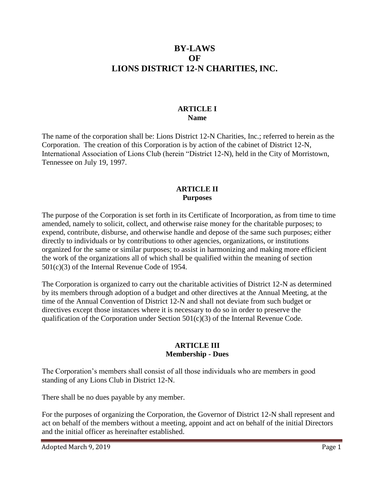## **BY-LAWS OF LIONS DISTRICT 12-N CHARITIES, INC.**

#### **ARTICLE I Name**

<span id="page-3-1"></span><span id="page-3-0"></span>The name of the corporation shall be: Lions District 12-N Charities, Inc.; referred to herein as the Corporation. The creation of this Corporation is by action of the cabinet of District 12-N, International Association of Lions Club (herein "District 12-N), held in the City of Morristown, Tennessee on July 19, 1997.

#### **ARTICLE II Purposes**

<span id="page-3-3"></span><span id="page-3-2"></span>The purpose of the Corporation is set forth in its Certificate of Incorporation, as from time to time amended, namely to solicit, collect, and otherwise raise money for the charitable purposes; to expend, contribute, disburse, and otherwise handle and depose of the same such purposes; either directly to individuals or by contributions to other agencies, organizations, or institutions organized for the same or similar purposes; to assist in harmonizing and making more efficient the work of the organizations all of which shall be qualified within the meaning of section 501(c)(3) of the Internal Revenue Code of 1954.

The Corporation is organized to carry out the charitable activities of District 12-N as determined by its members through adoption of a budget and other directives at the Annual Meeting, at the time of the Annual Convention of District 12-N and shall not deviate from such budget or directives except those instances where it is necessary to do so in order to preserve the qualification of the Corporation under Section  $501(c)(3)$  of the Internal Revenue Code.

#### **ARTICLE III Membership - Dues**

<span id="page-3-5"></span><span id="page-3-4"></span>The Corporation's members shall consist of all those individuals who are members in good standing of any Lions Club in District 12-N.

There shall be no dues payable by any member.

For the purposes of organizing the Corporation, the Governor of District 12-N shall represent and act on behalf of the members without a meeting, appoint and act on behalf of the initial Directors and the initial officer as hereinafter established.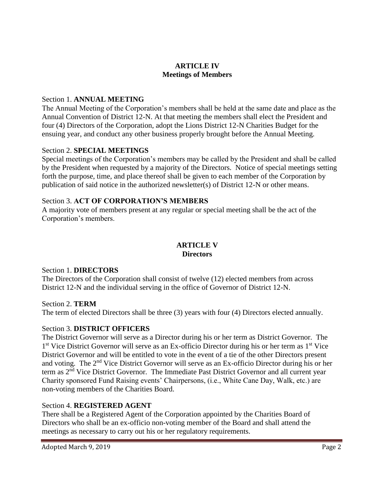## **ARTICLE IV Meetings of Members**

## <span id="page-4-2"></span><span id="page-4-1"></span><span id="page-4-0"></span>Section 1. **ANNUAL MEETING**

The Annual Meeting of the Corporation's members shall be held at the same date and place as the Annual Convention of District 12-N. At that meeting the members shall elect the President and four (4) Directors of the Corporation, adopt the Lions District 12-N Charities Budget for the ensuing year, and conduct any other business properly brought before the Annual Meeting.

#### <span id="page-4-3"></span>Section 2. **SPECIAL MEETINGS**

Special meetings of the Corporation's members may be called by the President and shall be called by the President when requested by a majority of the Directors. Notice of special meetings setting forth the purpose, time, and place thereof shall be given to each member of the Corporation by publication of said notice in the authorized newsletter(s) of District 12-N or other means.

#### <span id="page-4-4"></span>Section 3. **ACT OF CORPORATION'S MEMBERS**

A majority vote of members present at any regular or special meeting shall be the act of the Corporation's members.

#### **ARTICLE V Directors**

#### <span id="page-4-7"></span><span id="page-4-6"></span><span id="page-4-5"></span>Section 1. **DIRECTORS**

The Directors of the Corporation shall consist of twelve (12) elected members from across District 12-N and the individual serving in the office of Governor of District 12-N.

#### <span id="page-4-8"></span>Section 2. **TERM**

<span id="page-4-9"></span>The term of elected Directors shall be three (3) years with four (4) Directors elected annually.

#### Section 3. **DISTRICT OFFICERS**

The District Governor will serve as a Director during his or her term as District Governor. The 1<sup>st</sup> Vice District Governor will serve as an Ex-officio Director during his or her term as 1<sup>st</sup> Vice District Governor and will be entitled to vote in the event of a tie of the other Directors present and voting. The 2nd Vice District Governor will serve as an Ex-officio Director during his or her term as 2nd Vice District Governor. The Immediate Past District Governor and all current year Charity sponsored Fund Raising events' Chairpersons, (i.e., White Cane Day, Walk, etc.) are non-voting members of the Charities Board.

## <span id="page-4-10"></span>Section 4. **REGISTERED AGENT**

There shall be a Registered Agent of the Corporation appointed by the Charities Board of Directors who shall be an ex-officio non-voting member of the Board and shall attend the meetings as necessary to carry out his or her regulatory requirements.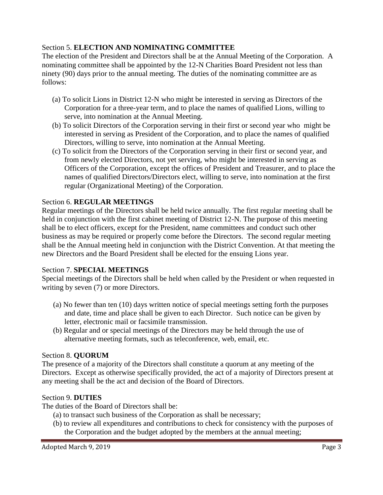## <span id="page-5-0"></span>Section 5. **ELECTION AND NOMINATING COMMITTEE**

The election of the President and Directors shall be at the Annual Meeting of the Corporation. A nominating committee shall be appointed by the 12-N Charities Board President not less than ninety (90) days prior to the annual meeting. The duties of the nominating committee are as follows:

- (a) To solicit Lions in District 12-N who might be interested in serving as Directors of the Corporation for a three-year term, and to place the names of qualified Lions, willing to serve, into nomination at the Annual Meeting.
- (b) To solicit Directors of the Corporation serving in their first or second year who might be interested in serving as President of the Corporation, and to place the names of qualified Directors, willing to serve, into nomination at the Annual Meeting.
- (c) To solicit from the Directors of the Corporation serving in their first or second year, and from newly elected Directors, not yet serving, who might be interested in serving as Officers of the Corporation, except the offices of President and Treasurer, and to place the names of qualified Directors/Directors elect, willing to serve, into nomination at the first regular (Organizational Meeting) of the Corporation.

#### <span id="page-5-1"></span>Section 6. **REGULAR MEETINGS**

Regular meetings of the Directors shall be held twice annually. The first regular meeting shall be held in conjunction with the first cabinet meeting of District 12-N. The purpose of this meeting shall be to elect officers, except for the President, name committees and conduct such other business as may be required or properly come before the Directors. The second regular meeting shall be the Annual meeting held in conjunction with the District Convention. At that meeting the new Directors and the Board President shall be elected for the ensuing Lions year.

## <span id="page-5-2"></span>Section 7. **SPECIAL MEETINGS**

Special meetings of the Directors shall be held when called by the President or when requested in writing by seven (7) or more Directors.

- (a) No fewer than ten (10) days written notice of special meetings setting forth the purposes and date, time and place shall be given to each Director. Such notice can be given by letter, electronic mail or facsimile transmission.
- (b) Regular and or special meetings of the Directors may be held through the use of alternative meeting formats, such as teleconference, web, email, etc.

#### <span id="page-5-3"></span>Section 8. **QUORUM**

The presence of a majority of the Directors shall constitute a quorum at any meeting of the Directors. Except as otherwise specifically provided, the act of a majority of Directors present at any meeting shall be the act and decision of the Board of Directors.

#### <span id="page-5-4"></span>Section 9. **DUTIES**

The duties of the Board of Directors shall be:

- (a) to transact such business of the Corporation as shall be necessary;
- (b) to review all expenditures and contributions to check for consistency with the purposes of the Corporation and the budget adopted by the members at the annual meeting;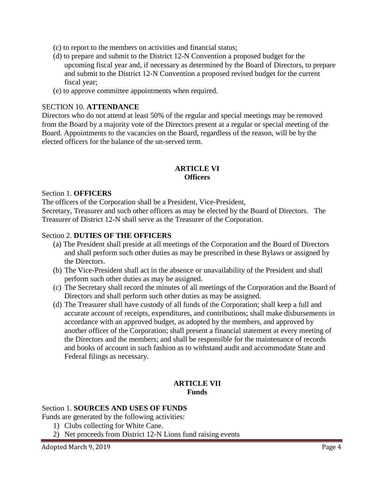- (c) to report to the members on activities and financial status;
- (d) to prepare and submit to the District 12-N Convention a proposed budget for the upcoming fiscal year and, if necessary as determined by the Board of Directors, to prepare and submit to the District 12-N Convention a proposed revised budget for the current fiscal year;
- (e) to approve committee appointments when required.

#### <span id="page-6-0"></span>SECTION 10. **ATTENDANCE**

Directors who do not attend at least 50% of the regular and special meetings may be removed from the Board by a majority vote of the Directors present at a regular or special meeting of the Board. Appointments to the vacancies on the Board, regardless of the reason, will be by the elected officers for the balance of the un-served term.

#### **ARTICLE VI Officers**

#### <span id="page-6-3"></span><span id="page-6-2"></span><span id="page-6-1"></span>Section 1. **OFFICERS**

The officers of the Corporation shall be a President, Vice-President,

Secretary, Treasurer and such other officers as may be elected by the Board of Directors. The Treasurer of District 12-N shall serve as the Treasurer of the Corporation.

#### <span id="page-6-4"></span>Section 2. **DUTIES OF THE OFFICERS**

- (a) The President shall preside at all meetings of the Corporation and the Board of Directors and shall perform such other duties as may be prescribed in these Bylaws or assigned by the Directors.
- (b) The Vice-President shall act in the absence or unavailability of the President and shall perform such other duties as may be assigned.
- (c) The Secretary shall record the minutes of all meetings of the Corporation and the Board of Directors and shall perform such other duties as may be assigned.
- (d) The Treasurer shall have custody of all funds of the Corporation; shall keep a full and accurate account of receipts, expenditures, and contributions; shall make disbursements in accordance with an approved budget, as adopted by the members, and approved by another officer of the Corporation; shall present a financial statement at every meeting of the Directors and the members; and shall be responsible for the maintenance of records and books of account in such fashion as to withstand audit and accommodate State and Federal filings as necessary.

#### **ARTICLE VII Funds**

#### <span id="page-6-7"></span><span id="page-6-6"></span><span id="page-6-5"></span>Section 1. **SOURCES AND USES OF FUNDS**

Funds are generated by the following activities:

- 1) Clubs collecting for White Cane.
- 2) Net proceeds from District 12-N Lions fund raising events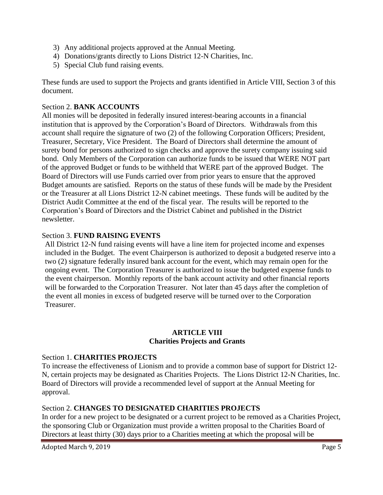- 3) Any additional projects approved at the Annual Meeting.
- 4) Donations/grants directly to Lions District 12-N Charities, Inc.
- 5) Special Club fund raising events.

These funds are used to support the Projects and grants identified in Article VIII, Section 3 of this document.

## <span id="page-7-0"></span>Section 2. **BANK ACCOUNTS**

All monies will be deposited in federally insured interest-bearing accounts in a financial institution that is approved by the Corporation's Board of Directors. Withdrawals from this account shall require the signature of two (2) of the following Corporation Officers; President, Treasurer, Secretary, Vice President. The Board of Directors shall determine the amount of surety bond for persons authorized to sign checks and approve the surety company issuing said bond. Only Members of the Corporation can authorize funds to be issued that WERE NOT part of the approved Budget or funds to be withheld that WERE part of the approved Budget. The Board of Directors will use Funds carried over from prior years to ensure that the approved Budget amounts are satisfied. Reports on the status of these funds will be made by the President or the Treasurer at all Lions District 12-N cabinet meetings. These funds will be audited by the District Audit Committee at the end of the fiscal year. The results will be reported to the Corporation's Board of Directors and the District Cabinet and published in the District newsletter.

## <span id="page-7-1"></span>Section 3. **FUND RAISING EVENTS**

All District 12-N fund raising events will have a line item for projected income and expenses included in the Budget. The event Chairperson is authorized to deposit a budgeted reserve into a two (2) signature federally insured bank account for the event, which may remain open for the ongoing event. The Corporation Treasurer is authorized to issue the budgeted expense funds to the event chairperson. Monthly reports of the bank account activity and other financial reports will be forwarded to the Corporation Treasurer. Not later than 45 days after the completion of the event all monies in excess of budgeted reserve will be turned over to the Corporation Treasurer.

#### **ARTICLE VIII Charities Projects and Grants**

#### <span id="page-7-4"></span><span id="page-7-3"></span><span id="page-7-2"></span>Section 1. **CHARITIES PROJECTS**

To increase the effectiveness of Lionism and to provide a common base of support for District 12- N, certain projects may be designated as Charities Projects. The Lions District 12-N Charities, Inc. Board of Directors will provide a recommended level of support at the Annual Meeting for approval.

## <span id="page-7-5"></span>Section 2. **CHANGES TO DESIGNATED CHARITIES PROJECTS**

In order for a new project to be designated or a current project to be removed as a Charities Project, the sponsoring Club or Organization must provide a written proposal to the Charities Board of Directors at least thirty (30) days prior to a Charities meeting at which the proposal will be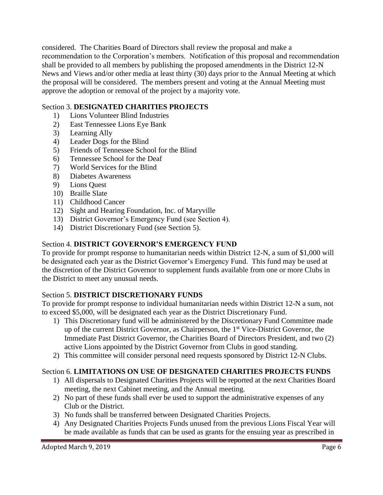considered. The Charities Board of Directors shall review the proposal and make a recommendation to the Corporation's members. Notification of this proposal and recommendation shall be provided to all members by publishing the proposed amendments in the District 12-N News and Views and/or other media at least thirty (30) days prior to the Annual Meeting at which the proposal will be considered. The members present and voting at the Annual Meeting must approve the adoption or removal of the project by a majority vote.

## <span id="page-8-0"></span>Section 3. **DESIGNATED CHARITIES PROJECTS**

- 1) Lions Volunteer Blind Industries
- 2) East Tennessee Lions Eye Bank
- 3) Learning Ally
- 4) Leader Dogs for the Blind
- 5) Friends of Tennessee School for the Blind
- 6) Tennessee School for the Deaf
- 7) World Services for the Blind
- 8) Diabetes Awareness
- 9) Lions Quest
- 10) Braille Slate
- 11) Childhood Cancer
- 12) Sight and Hearing Foundation, Inc. of Maryville
- 13) District Governor's Emergency Fund (see Section 4).
- 14) District Discretionary Fund (see Section 5).

## <span id="page-8-1"></span>Section 4. **DISTRICT GOVERNOR'S EMERGENCY FUND**

To provide for prompt response to humanitarian needs within District 12-N, a sum of \$1,000 will be designated each year as the District Governor's Emergency Fund. This fund may be used at the discretion of the District Governor to supplement funds available from one or more Clubs in the District to meet any unusual needs.

#### <span id="page-8-2"></span>Section 5. **DISTRICT DISCRETIONARY FUNDS**

To provide for prompt response to individual humanitarian needs within District 12-N a sum, not to exceed \$5,000, will be designated each year as the District Discretionary Fund.

- 1) This Discretionary fund will be administered by the Discretionary Fund Committee made up of the current District Governor, as Chairperson, the 1<sup>st</sup> Vice-District Governor, the Immediate Past District Governor, the Charities Board of Directors President, and two (2) active Lions appointed by the District Governor from Clubs in good standing.
- 2) This committee will consider personal need requests sponsored by District 12-N Clubs.

## <span id="page-8-3"></span>Section 6. **LIMITATIONS ON USE OF DESIGNATED CHARITIES PROJECTS FUNDS**

- 1) All dispersals to Designated Charities Projects will be reported at the next Charities Board meeting, the next Cabinet meeting, and the Annual meeting.
- 2) No part of these funds shall ever be used to support the administrative expenses of any Club or the District.
- 3) No funds shall be transferred between Designated Charities Projects.
- 4) Any Designated Charities Projects Funds unused from the previous Lions Fiscal Year will be made available as funds that can be used as grants for the ensuing year as prescribed in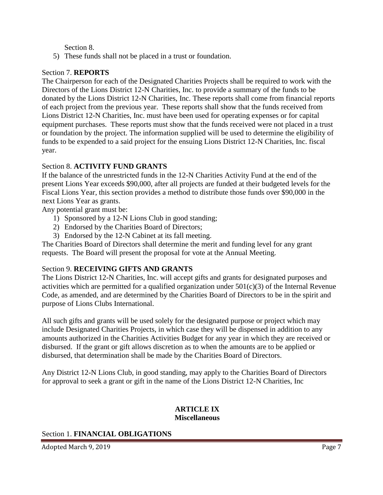Section 8.

5) These funds shall not be placed in a trust or foundation.

#### <span id="page-9-0"></span>Section 7. **REPORTS**

The Chairperson for each of the Designated Charities Projects shall be required to work with the Directors of the Lions District 12-N Charities, Inc. to provide a summary of the funds to be donated by the Lions District 12-N Charities, Inc. These reports shall come from financial reports of each project from the previous year. These reports shall show that the funds received from Lions District 12-N Charities, Inc. must have been used for operating expenses or for capital equipment purchases. These reports must show that the funds received were not placed in a trust or foundation by the project. The information supplied will be used to determine the eligibility of funds to be expended to a said project for the ensuing Lions District 12-N Charities, Inc. fiscal year.

#### <span id="page-9-1"></span>Section 8. **ACTIVITY FUND GRANTS**

If the balance of the unrestricted funds in the 12-N Charities Activity Fund at the end of the present Lions Year exceeds \$90,000, after all projects are funded at their budgeted levels for the Fiscal Lions Year, this section provides a method to distribute those funds over \$90,000 in the next Lions Year as grants.

Any potential grant must be:

- 1) Sponsored by a 12-N Lions Club in good standing;
- 2) Endorsed by the Charities Board of Directors;
- 3) Endorsed by the 12-N Cabinet at its fall meeting.

The Charities Board of Directors shall determine the merit and funding level for any grant requests. The Board will present the proposal for vote at the Annual Meeting.

#### <span id="page-9-2"></span>Section 9. **RECEIVING GIFTS AND GRANTS**

The Lions District 12-N Charities, Inc. will accept gifts and grants for designated purposes and activities which are permitted for a qualified organization under  $501(c)(3)$  of the Internal Revenue Code, as amended, and are determined by the Charities Board of Directors to be in the spirit and purpose of Lions Clubs International.

All such gifts and grants will be used solely for the designated purpose or project which may include Designated Charities Projects, in which case they will be dispensed in addition to any amounts authorized in the Charities Activities Budget for any year in which they are received or disbursed. If the grant or gift allows discretion as to when the amounts are to be applied or disbursed, that determination shall be made by the Charities Board of Directors.

Any District 12-N Lions Club, in good standing, may apply to the Charities Board of Directors for approval to seek a grant or gift in the name of the Lions District 12-N Charities, Inc

#### **ARTICLE IX Miscellaneous**

#### <span id="page-9-5"></span><span id="page-9-4"></span><span id="page-9-3"></span>Section 1. **FINANCIAL OBLIGATIONS**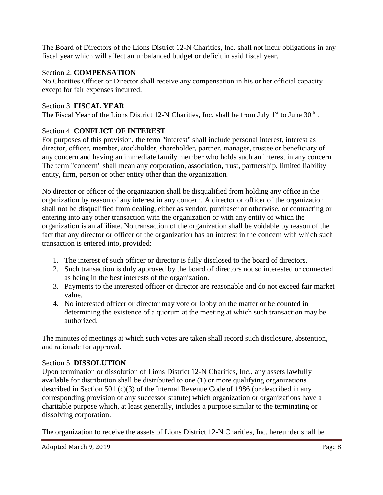The Board of Directors of the Lions District 12-N Charities, Inc. shall not incur obligations in any fiscal year which will affect an unbalanced budget or deficit in said fiscal year.

#### <span id="page-10-0"></span>Section 2. **COMPENSATION**

No Charities Officer or Director shall receive any compensation in his or her official capacity except for fair expenses incurred.

#### <span id="page-10-1"></span>Section 3. **FISCAL YEAR**

The Fiscal Year of the Lions District 12-N Charities, Inc. shall be from July  $1<sup>st</sup>$  to June  $30<sup>th</sup>$ .

#### <span id="page-10-2"></span>Section 4. **CONFLICT OF INTEREST**

For purposes of this provision, the term "interest" shall include personal interest, interest as director, officer, member, stockholder, shareholder, partner, manager, trustee or beneficiary of any concern and having an immediate family member who holds such an interest in any concern. The term "concern" shall mean any corporation, association, trust, partnership, limited liability entity, firm, person or other entity other than the organization.

No director or officer of the organization shall be disqualified from holding any office in the organization by reason of any interest in any concern. A director or officer of the organization shall not be disqualified from dealing, either as vendor, purchaser or otherwise, or contracting or entering into any other transaction with the organization or with any entity of which the organization is an affiliate. No transaction of the organization shall be voidable by reason of the fact that any director or officer of the organization has an interest in the concern with which such transaction is entered into, provided:

- 1. The interest of such officer or director is fully disclosed to the board of directors.
- 2. Such transaction is duly approved by the board of directors not so interested or connected as being in the best interests of the organization.
- 3. Payments to the interested officer or director are reasonable and do not exceed fair market value.
- 4. No interested officer or director may vote or lobby on the matter or be counted in determining the existence of a quorum at the meeting at which such transaction may be authorized.

The minutes of meetings at which such votes are taken shall record such disclosure, abstention, and rationale for approval.

#### <span id="page-10-3"></span>Section 5. **DISSOLUTION**

Upon termination or dissolution of Lions District 12-N Charities, Inc., any assets lawfully available for distribution shall be distributed to one (1) or more qualifying organizations described in Section 501 (c)(3) of the Internal Revenue Code of 1986 (or described in any corresponding provision of any successor statute) which organization or organizations have a charitable purpose which, at least generally, includes a purpose similar to the terminating or dissolving corporation.

The organization to receive the assets of Lions District 12-N Charities, Inc. hereunder shall be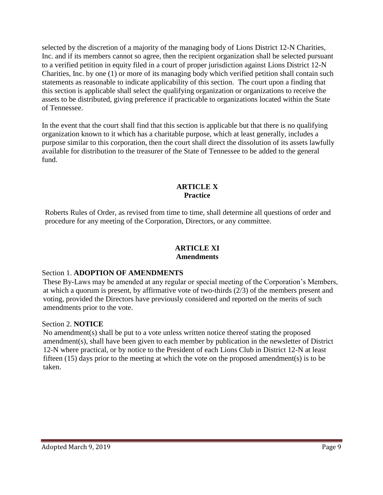selected by the discretion of a majority of the managing body of Lions District 12-N Charities, Inc. and if its members cannot so agree, then the recipient organization shall be selected pursuant to a verified petition in equity filed in a court of proper jurisdiction against Lions District 12-N Charities, Inc. by one (1) or more of its managing body which verified petition shall contain such statements as reasonable to indicate applicability of this section. The court upon a finding that this section is applicable shall select the qualifying organization or organizations to receive the assets to be distributed, giving preference if practicable to organizations located within the State of Tennessee.

In the event that the court shall find that this section is applicable but that there is no qualifying organization known to it which has a charitable purpose, which at least generally, includes a purpose similar to this corporation, then the court shall direct the dissolution of its assets lawfully available for distribution to the treasurer of the State of Tennessee to be added to the general fund.

## **ARTICLE X Practice**

<span id="page-11-1"></span><span id="page-11-0"></span>Roberts Rules of Order, as revised from time to time, shall determine all questions of order and procedure for any meeting of the Corporation, Directors, or any committee.

#### **ARTICLE XI Amendments**

#### <span id="page-11-4"></span><span id="page-11-3"></span><span id="page-11-2"></span>Section 1. **ADOPTION OF AMENDMENTS**

These By-Laws may be amended at any regular or special meeting of the Corporation's Members, at which a quorum is present, by affirmative vote of two-thirds (2/3) of the members present and voting, provided the Directors have previously considered and reported on the merits of such amendments prior to the vote.

#### <span id="page-11-5"></span>Section 2. **NOTICE**

No amendment(s) shall be put to a vote unless written notice thereof stating the proposed amendment(s), shall have been given to each member by publication in the newsletter of District 12-N where practical, or by notice to the President of each Lions Club in District 12-N at least fifteen  $(15)$  days prior to the meeting at which the vote on the proposed amendment(s) is to be taken.